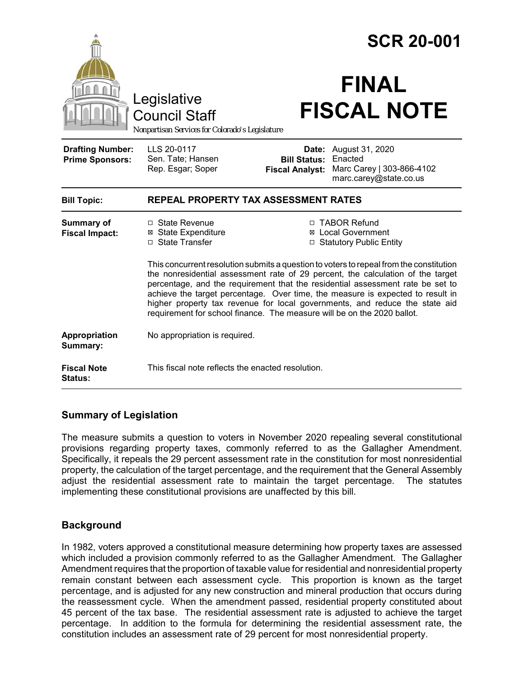|                                                   |                                                                                                                                                                                                                                                                                                                                                                                                                                                                                                          |                                               | <b>SCR 20-001</b>                                                                              |  |
|---------------------------------------------------|----------------------------------------------------------------------------------------------------------------------------------------------------------------------------------------------------------------------------------------------------------------------------------------------------------------------------------------------------------------------------------------------------------------------------------------------------------------------------------------------------------|-----------------------------------------------|------------------------------------------------------------------------------------------------|--|
|                                                   | Legislative<br><b>Council Staff</b><br>Nonpartisan Services for Colorado's Legislature                                                                                                                                                                                                                                                                                                                                                                                                                   |                                               | <b>FINAL</b><br><b>FISCAL NOTE</b>                                                             |  |
| <b>Drafting Number:</b><br><b>Prime Sponsors:</b> | LLS 20-0117<br>Sen. Tate; Hansen<br>Rep. Esgar; Soper                                                                                                                                                                                                                                                                                                                                                                                                                                                    | <b>Bill Status:</b><br><b>Fiscal Analyst:</b> | <b>Date:</b> August 31, 2020<br>Enacted<br>Marc Carey   303-866-4102<br>marc.carey@state.co.us |  |
| <b>Bill Topic:</b>                                | REPEAL PROPERTY TAX ASSESSMENT RATES                                                                                                                                                                                                                                                                                                                                                                                                                                                                     |                                               |                                                                                                |  |
| <b>Summary of</b><br><b>Fiscal Impact:</b>        | □ State Revenue<br><b>⊠</b> State Expenditure<br>□ State Transfer                                                                                                                                                                                                                                                                                                                                                                                                                                        |                                               | □ TABOR Refund<br>⊠ Local Government<br>□ Statutory Public Entity                              |  |
|                                                   | This concurrent resolution submits a question to voters to repeal from the constitution<br>the nonresidential assessment rate of 29 percent, the calculation of the target<br>percentage, and the requirement that the residential assessment rate be set to<br>achieve the target percentage. Over time, the measure is expected to result in<br>higher property tax revenue for local governments, and reduce the state aid<br>requirement for school finance. The measure will be on the 2020 ballot. |                                               |                                                                                                |  |
| Appropriation<br>Summary:                         | No appropriation is required.                                                                                                                                                                                                                                                                                                                                                                                                                                                                            |                                               |                                                                                                |  |
| <b>Fiscal Note</b><br>Status:                     | This fiscal note reflects the enacted resolution.                                                                                                                                                                                                                                                                                                                                                                                                                                                        |                                               |                                                                                                |  |

## **Summary of Legislation**

The measure submits a question to voters in November 2020 repealing several constitutional provisions regarding property taxes, commonly referred to as the Gallagher Amendment. Specifically, it repeals the 29 percent assessment rate in the constitution for most nonresidential property, the calculation of the target percentage, and the requirement that the General Assembly adjust the residential assessment rate to maintain the target percentage. The statutes implementing these constitutional provisions are unaffected by this bill.

# **Background**

In 1982, voters approved a constitutional measure determining how property taxes are assessed which included a provision commonly referred to as the Gallagher Amendment. The Gallagher Amendment requires that the proportion of taxable value for residential and nonresidential property remain constant between each assessment cycle. This proportion is known as the target percentage, and is adjusted for any new construction and mineral production that occurs during the reassessment cycle. When the amendment passed, residential property constituted about 45 percent of the tax base. The residential assessment rate is adjusted to achieve the target percentage. In addition to the formula for determining the residential assessment rate, the constitution includes an assessment rate of 29 percent for most nonresidential property.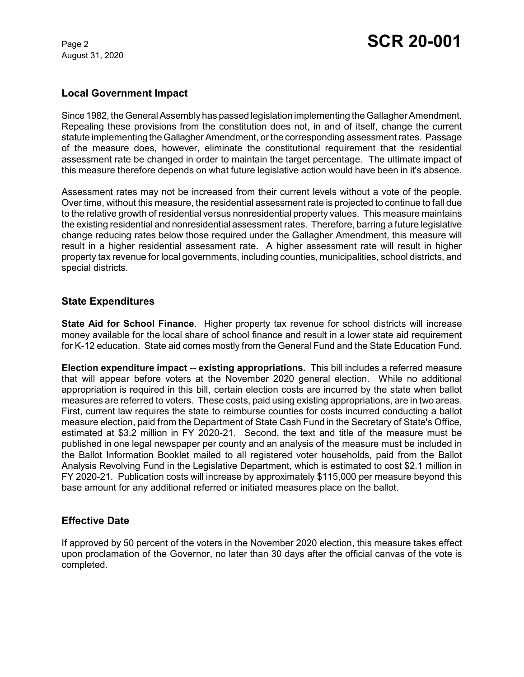August 31, 2020

#### **Local Government Impact**

Since 1982, the General Assembly has passed legislation implementing the Gallagher Amendment. Repealing these provisions from the constitution does not, in and of itself, change the current statute implementing the Gallagher Amendment, or the corresponding assessment rates. Passage of the measure does, however, eliminate the constitutional requirement that the residential assessment rate be changed in order to maintain the target percentage. The ultimate impact of this measure therefore depends on what future legislative action would have been in it's absence.

Assessment rates may not be increased from their current levels without a vote of the people. Over time, without this measure, the residential assessment rate is projected to continue to fall due to the relative growth of residential versus nonresidential property values. This measure maintains the existing residential and nonresidential assessment rates. Therefore, barring a future legislative change reducing rates below those required under the Gallagher Amendment, this measure will result in a higher residential assessment rate. A higher assessment rate will result in higher property tax revenue for local governments, including counties, municipalities, school districts, and special districts.

#### **State Expenditures**

**State Aid for School Finance**. Higher property tax revenue for school districts will increase money available for the local share of school finance and result in a lower state aid requirement for K-12 education. State aid comes mostly from the General Fund and the State Education Fund.

**Election expenditure impact -- existing appropriations.** This bill includes a referred measure that will appear before voters at the November 2020 general election. While no additional appropriation is required in this bill, certain election costs are incurred by the state when ballot measures are referred to voters. These costs, paid using existing appropriations, are in two areas. First, current law requires the state to reimburse counties for costs incurred conducting a ballot measure election, paid from the Department of State Cash Fund in the Secretary of State's Office, estimated at \$3.2 million in FY 2020-21. Second, the text and title of the measure must be published in one legal newspaper per county and an analysis of the measure must be included in the Ballot Information Booklet mailed to all registered voter households, paid from the Ballot Analysis Revolving Fund in the Legislative Department, which is estimated to cost \$2.1 million in FY 2020-21. Publication costs will increase by approximately \$115,000 per measure beyond this base amount for any additional referred or initiated measures place on the ballot.

## **Effective Date**

If approved by 50 percent of the voters in the November 2020 election, this measure takes effect upon proclamation of the Governor, no later than 30 days after the official canvas of the vote is completed.